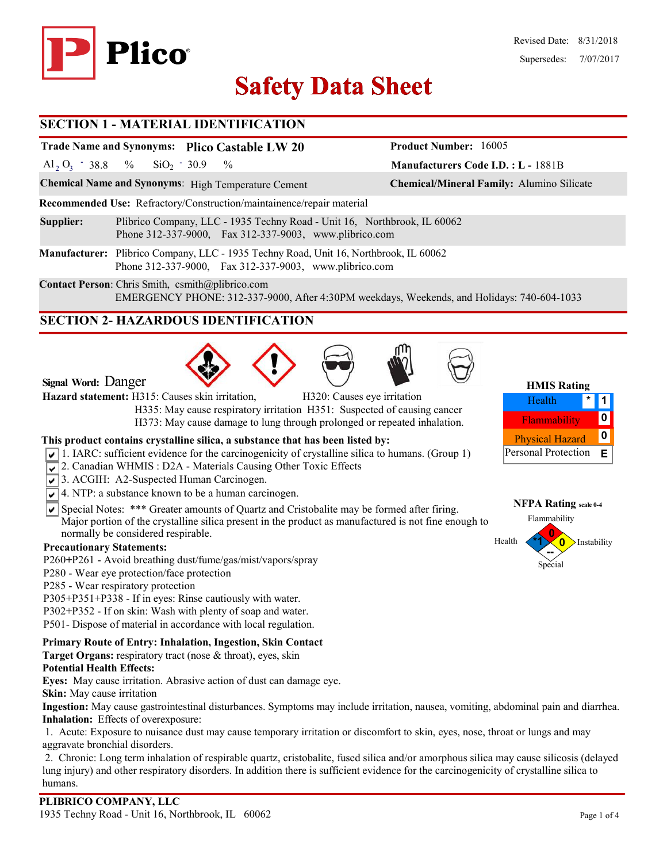

# **Safety Data Sheet Safety Data**

#### **SECTION 1 - MATERIAL IDENTIFICATION**

# **Trade Name and Synonyms: Plico Castable LW 20**

Al<sub>2</sub> O<sub>3</sub> - 38.8 % SiO<sub>2</sub> - 30.9 %  $SiO<sub>2</sub> - 30.9$ 

**Chemical Name and Synonyms**: High Temperature Cement **Chemical/Mineral Family:** Alumino Silicate

**Recommended Use:** Refractory/Construction/maintainence/repair material

- **Supplier:** Plibrico Company, LLC 1935 Techny Road Unit 16, Northbrook, IL 60062 Phone 312-337-9000, Fax 312-337-9003, www.plibrico.com
- **Manufacturer:** Plibrico Company, LLC 1935 Techny Road, Unit 16, Northbrook, IL 60062 Phone 312-337-9000, Fax 312-337-9003, www.plibrico.com

**Contact Person**: Chris Smith, csmith@plibrico.com EMERGENCY PHONE: 312-337-9000, After 4:30PM weekdays, Weekends, and Holidays: 740-604-1033

## **SECTION 2- HAZARDOUS IDENTIFICATION**







**Manufacturers Code I.D. : L -** 1881B

**Product Number:** 16005

| <b>HMIS Rating</b>     |  |   |  |  |  |
|------------------------|--|---|--|--|--|
| Health                 |  |   |  |  |  |
| Flammability           |  |   |  |  |  |
| <b>Physical Hazard</b> |  | o |  |  |  |
| Personal Protection    |  | F |  |  |  |



**Signal Word:** Danger

**Hazard statement:** H315: Causes skin irritation, H320: Causes eye irritation

 H335: May cause respiratory irritation H351: Suspected of causing cancer H373: May cause damage to lung through prolonged or repeated inhalation.

#### **This product contains crystalline silica, a substance that has been listed by:**

- $\sqrt{1}$ . IARC: sufficient evidence for the carcinogenicity of crystalline silica to humans. (Group 1)
- 2. Canadian WHMIS: D2A Materials Causing Other Toxic Effects
- 3. ACGIH: A2-Suspected Human Carcinogen.
- $\sqrt{\sqrt{4}}$ . NTP: a substance known to be a human carcinogen.
- $\overline{\mathsf{S}}$  Special Notes: \*\*\* Greater amounts of Quartz and Cristobalite may be formed after firing. Major portion of the crystalline silica present in the product as manufactured is not fine enough to normally be considered respirable.

#### **Precautionary Statements:**

- P260**+**P261 Avoid breathing dust/fume/gas/mist/vapors/spray
- P280 Wear eye protection/face protection
- P285 Wear respiratory protection
- P305+P351+P338 If in eyes: Rinse cautiously with water.
- P302+P352 If on skin: Wash with plenty of soap and water.
- P501- Dispose of material in accordance with local regulation.

#### **Primary Route of Entry: Inhalation, Ingestion, Skin Contact**

**Target Organs:** respiratory tract (nose & throat), eyes, skin

#### **Potential Health Effects:**

**Eyes:** May cause irritation. Abrasive action of dust can damage eye.

**Skin:** May cause irritation

**Ingestion:** May cause gastrointestinal disturbances. Symptoms may include irritation, nausea, vomiting, abdominal pain and diarrhea. **Inhalation:** Effects of overexposure:

1. Acute: Exposure to nuisance dust may cause temporary irritation or discomfort to skin, eyes, nose, throat or lungs and may aggravate bronchial disorders.

2. Chronic: Long term inhalation of respirable quartz, cristobalite, fused silica and/or amorphous silica may cause silicosis (delayed lung injury) and other respiratory disorders. In addition there is sufficient evidence for the carcinogenicity of crystalline silica to humans.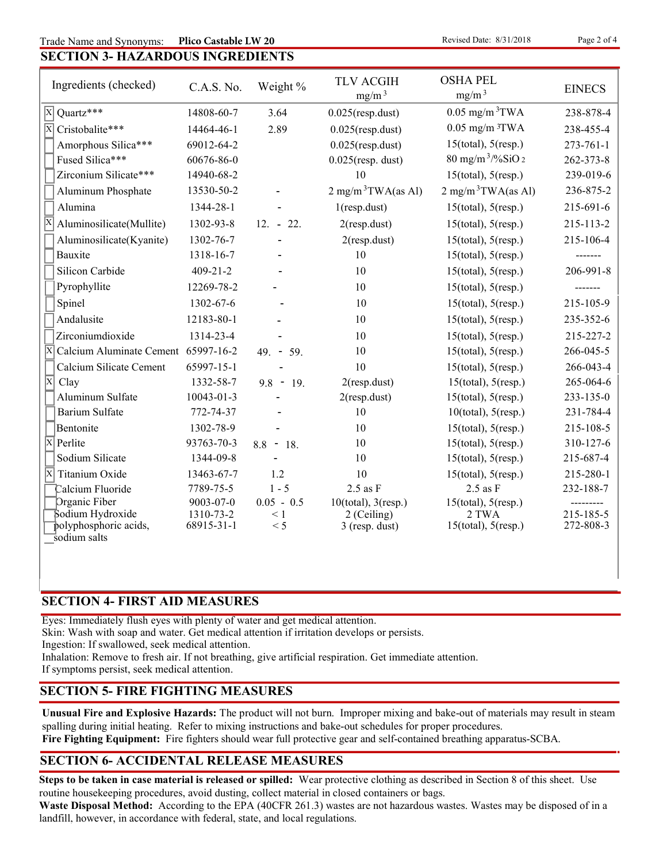Trade Name and Synonyms: **Plico Castable LW 20 Example 2 of 4 Revised Date: 8/31/2018 Page 2 of 4 Plico Castable LW 20** 

|  | 그 사람들은 그 사람들은 그 사람들은 그 사람들을 지르며 그 사람들을 지르며 그 사람들을 지르며 그 사람들을 지르며 그 사람들을 지르며 그 사람들을 지르며 그 사람들을 지르며 그 사람들을 지르며 그 사람들을 지르며 그 사람들을 지르며 그 사람들을 지르며 그 사람들을 지르며 그 사람들을 지르며 그 사람들을 지르며 그 사람들을 지르며 그 사람들을 지르며 그 사람들을 지르며 그 사람들을 지르며 그 사 |                                         |  |
|--|--------------------------------------------------------------------------------------------------------------------------------------------------------------------------------------------------------------------------------|-----------------------------------------|--|
|  |                                                                                                                                                                                                                                | <b>SECTION 3- HAZARDOUS INGREDIENTS</b> |  |

| Ingredients (checked)                      | C.A.S. No.              | Weight %        | <b>TLV ACGIH</b><br>$mg/m^3$  | <b>OSHA PEL</b><br>mg/m <sup>3</sup> | <b>EINECS</b>          |
|--------------------------------------------|-------------------------|-----------------|-------------------------------|--------------------------------------|------------------------|
| $\overline{\mathbf{x}}$<br>Ouartz***       | 14808-60-7              | 3.64            | $0.025$ (resp.dust)           | $0.05$ mg/m <sup>3</sup> TWA         | 238-878-4              |
| $\overline{\mathbf{x}}$<br>Cristobalite*** | 14464-46-1              | 2.89            | $0.025$ (resp.dust)           | $0.05$ mg/m $3$ TWA                  | 238-455-4              |
| Amorphous Silica***                        | 69012-64-2              |                 | $0.025$ (resp.dust)           | $15$ (total), $5$ (resp.)            | $273 - 761 - 1$        |
| Fused Silica***                            | 60676-86-0              |                 | $0.025$ (resp. dust)          | $80 \text{ mg/m}^3$ /%SiO 2          | 262-373-8              |
| Zirconium Silicate***                      | 14940-68-2              |                 | 10                            | $15$ (total), $5$ (resp.)            | 239-019-6              |
| Aluminum Phosphate                         | 13530-50-2              |                 | $2 \text{ mg/m}^3$ TWA(as Al) | $2 \text{ mg/m}^3$ TWA(as Al)        | 236-875-2              |
| Alumina                                    | 1344-28-1               |                 | $1$ (resp.dust)               | $15$ (total), $5$ (resp.)            | 215-691-6              |
| Aluminosilicate(Mullite)                   | 1302-93-8               | $12. - 22.$     | $2$ (resp.dust)               | $15$ (total), $5$ (resp.)            | 215-113-2              |
| Aluminosilicate(Kyanite)                   | 1302-76-7               |                 | $2$ (resp.dust)               | $15$ (total), $5$ (resp.)            | 215-106-4              |
| Bauxite                                    | 1318-16-7               |                 | 10                            | $15$ (total), $5$ (resp.)            | -------                |
| Silicon Carbide                            | $409 - 21 - 2$          |                 | 10                            | $15$ (total), $5$ (resp.)            | 206-991-8              |
| Pyrophyllite                               | 12269-78-2              |                 | 10                            | $15$ (total), $5$ (resp.)            |                        |
| Spinel                                     | 1302-67-6               |                 | 10                            | $15$ (total), $5$ (resp.)            | 215-105-9              |
| Andalusite                                 | 12183-80-1              |                 | 10                            | $15$ (total), $5$ (resp.)            | 235-352-6              |
| Zirconiumdioxide                           | 1314-23-4               |                 | 10                            | $15$ (total), $5$ (resp.)            | 215-227-2              |
| X<br>Calcium Aluminate Cement 65997-16-2   |                         | $49. - 59.$     | 10                            | $15$ (total), $5$ (resp.)            | 266-045-5              |
| Calcium Silicate Cement                    | 65997-15-1              |                 | 10                            | $15$ (total), $5$ (resp.)            | 266-043-4              |
| $\overline{\mathrm{x}}$<br>Clay            | 1332-58-7               | $9.8 - 19.$     | $2$ (resp.dust)               | $15$ (total), $5$ (resp.)            | 265-064-6              |
| Aluminum Sulfate                           | 10043-01-3              |                 | $2$ (resp.dust)               | $15$ (total), $5$ (resp.)            | 233-135-0              |
| <b>Barium Sulfate</b>                      | 772-74-37               |                 | 10                            | $10$ (total), $5$ (resp.)            | 231-784-4              |
| Bentonite                                  | 1302-78-9               |                 | 10                            | $15$ (total), $5$ (resp.)            | 215-108-5              |
| $\overline{\mathbf{x}}$<br>Perlite         | 93763-70-3              | $8.8 - 18.$     | 10                            | $15$ (total), $5$ (resp.)            | 310-127-6              |
| Sodium Silicate                            | 1344-09-8               |                 | 10                            | $15$ (total), $5$ (resp.)            | 215-687-4              |
| Ιx<br>Titanium Oxide                       | 13463-67-7              | 1.2             | 10                            | $15$ (total), $5$ (resp.)            | 215-280-1              |
| Calcium Fluoride                           | 7789-75-5               | $1 - 5$         | $2.5$ as $F$                  | $2.5$ as $F$                         | 232-188-7              |
| Organic Fiber                              | 9003-07-0               | $0.05 - 0.5$    | $10$ (total), $3$ (resp.)     | $15$ (total), $5$ (resp.)            |                        |
| Sodium Hydroxide<br>polyphosphoric acids,  | 1310-73-2<br>68915-31-1 | $\leq 1$<br>< 5 | 2 (Ceiling)<br>3 (resp. dust) | 2 TWA<br>$15$ (total), $5$ (resp.)   | 215-185-5<br>272-808-3 |
| sodium salts                               |                         |                 |                               |                                      |                        |

#### **SECTION 4- FIRST AID MEASURES**

Eyes: Immediately flush eyes with plenty of water and get medical attention.

Skin: Wash with soap and water. Get medical attention if irritation develops or persists.

Ingestion: If swallowed, seek medical attention.

Inhalation: Remove to fresh air. If not breathing, give artificial respiration. Get immediate attention.

If symptoms persist, seek medical attention.

#### **SECTION 5- FIRE FIGHTING MEASURES**

**Unusual Fire and Explosive Hazards:** The product will not burn. Improper mixing and bake-out of materials may result in steam spalling during initial heating. Refer to mixing instructions and bake-out schedules for proper procedures.

**Fire Fighting Equipment:** Fire fighters should wear full protective gear and self-contained breathing apparatus-SCBA.

### **SECTION 6- ACCIDENTAL RELEASE MEASURES**

**Steps to be taken in case material is released or spilled:** Wear protective clothing as described in Section 8 of this sheet. Use routine housekeeping procedures, avoid dusting, collect material in closed containers or bags.

**Waste Disposal Method:** According to the EPA (40CFR 261.3) wastes are not hazardous wastes. Wastes may be disposed of in a landfill, however, in accordance with federal, state, and local regulations.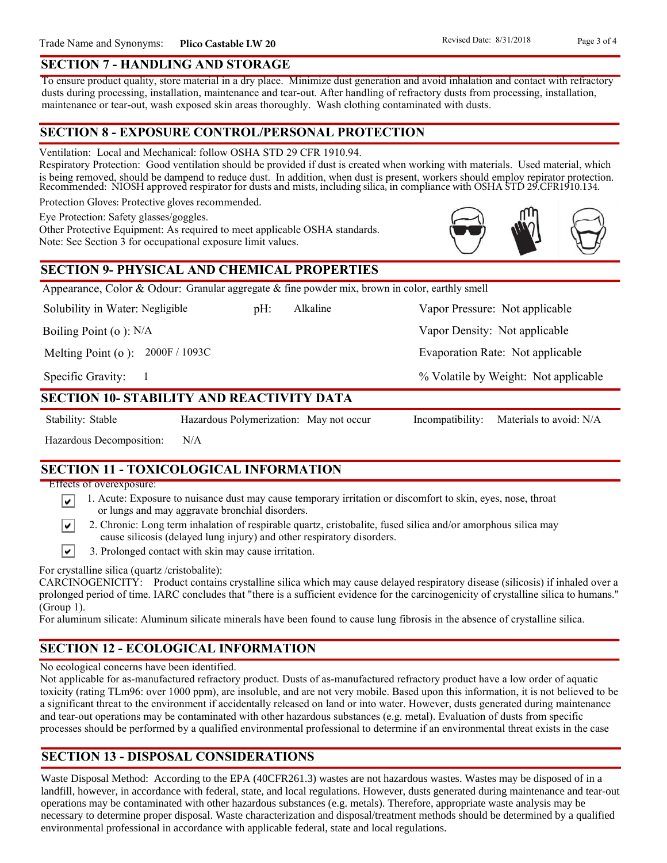#### **SECTION 7 - HANDLING AND STORAGE**

To ensure product quality, store material in a dry place. Minimize dust generation and avoid inhalation and contact with refractory dusts during processing, installation, maintenance and tear-out. After handling of refractory dusts from processing, installation, maintenance or tear-out, wash exposed skin areas thoroughly. Wash clothing contaminated with dusts.

#### **SECTION 8 - EXPOSURE CONTROL/PERSONAL PROTECTION**

Ventilation: Local and Mechanical: follow OSHA STD 29 CFR 1910.94.

Respiratory Protection: Good ventilation should be provided if dust is created when working with materials. Used material, which is being removed, should be dampend to reduce dust. In addition, when dust is present, workers should employ repirator protection. Recommended: NIOSH approved respirator for dusts and mists, including silica, in compliance with OSHA STD 29.CFR1910.134.

Alkaline

Protection Gloves: Protective gloves recommended.

Eye Protection: Safety glasses/goggles.

Other Protective Equipment: As required to meet applicable OSHA standards. Note: See Section 3 for occupational exposure limit values.

#### **SECTION 9- PHYSICAL AND CHEMICAL PROPERTIES**

Appearance, Color & Odour: Granular aggregate & fine powder mix, brown in color, earthly smell

Solubility in Water: Negligible

Boiling Point (o ): N/A

Melting Point (o ): 2000F / 1093C

1

Specific Gravity:

#### **SECTION 10- STABILITY AND REACTIVITY DATA**

∣V∣

Stability: Stable Hazardous Polymerization: May not occur Incompatibility: Materials to avoid: N/A

Vapor Density: Not applicable

pH: Alkaline Vapor Pressure: Not applicable

Evaporation Rate: Not applicable

% Volatile by Weight: Not applicable

Hazardous Decomposition: N/A

# **SECTION 11 - TOXICOLOGICAL INFORMATION**

Effects of overexposure:

- 1. Acute: Exposure to nuisance dust may cause temporary irritation or discomfort to skin, eyes, nose, throat ∣V∣ or lungs and may aggravate bronchial disorders.
	- 2. Chronic: Long term inhalation of respirable quartz, cristobalite, fused silica and/or amorphous silica may cause silicosis (delayed lung injury) and other respiratory disorders.
- $\vert\mathbf{v}\vert$ 3. Prolonged contact with skin may cause irritation.

For crystalline silica (quartz /cristobalite):

CARCINOGENICITY: Product contains crystalline silica which may cause delayed respiratory disease (silicosis) if inhaled over a prolonged period of time. IARC concludes that "there is a sufficient evidence for the carcinogenicity of crystalline silica to humans." (Group 1).

For aluminum silicate: Aluminum silicate minerals have been found to cause lung fibrosis in the absence of crystalline silica.

# **SECTION 12 - ECOLOGICAL INFORMATION**

No ecological concerns have been identified.

Not applicable for as-manufactured refractory product. Dusts of as-manufactured refractory product have a low order of aquatic toxicity (rating TLm96: over 1000 ppm), are insoluble, and are not very mobile. Based upon this information, it is not believed to be a significant threat to the environment if accidentally released on land or into water. However, dusts generated during maintenance and tear-out operations may be contaminated with other hazardous substances (e.g. metal). Evaluation of dusts from specific processes should be performed by a qualified environmental professional to determine if an environmental threat exists in the case

# **SECTION 13 - DISPOSAL CONSIDERATIONS**

Waste Disposal Method: According to the EPA (40CFR261.3) wastes are not hazardous wastes. Wastes may be disposed of in a landfill, however, in accordance with federal, state, and local regulations. However, dusts generated during maintenance and tear-out operations may be contaminated with other hazardous substances (e.g. metals). Therefore, appropriate waste analysis may be necessary to determine proper disposal. Waste characterization and disposal/treatment methods should be determined by a qualified environmental professional in accordance with applicable federal, state and local regulations.